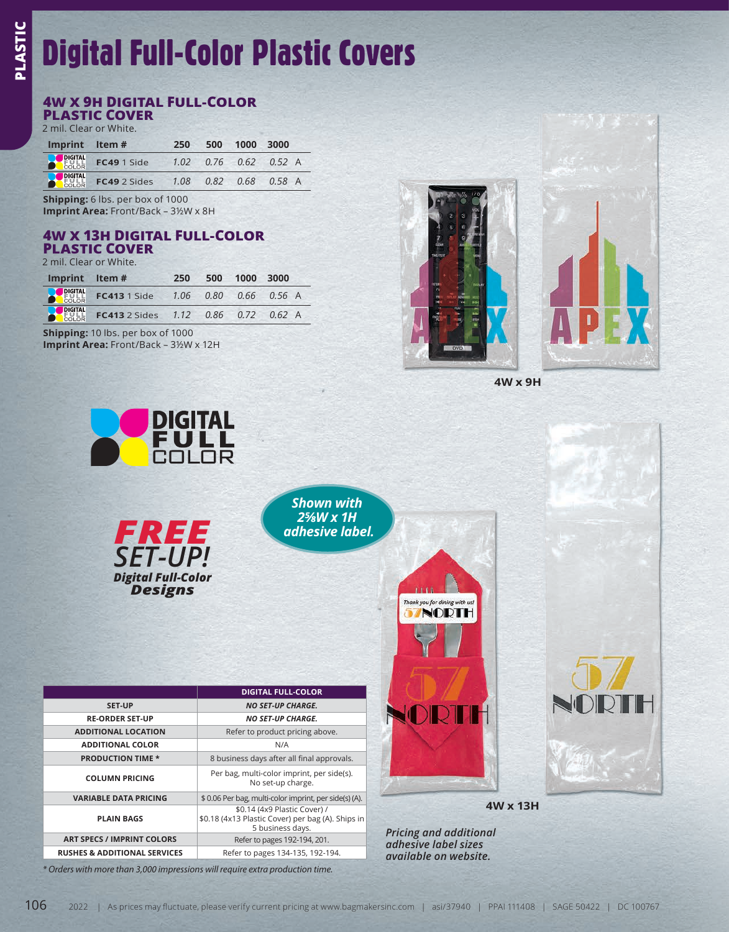## Digital Full-Color Plastic Covers

## **4W X 9H DIGITAL FULL-COLOR**

**PLASTIC COVER** 2 mil. Clear or White.

| Imprint Item# |                                                    | 250 | 500 1000 3000 |                               |
|---------------|----------------------------------------------------|-----|---------------|-------------------------------|
|               | <b>DIGITAL</b><br>COLOR FC49 1 Side                |     |               | $1.02$ $0.76$ $0.62$ $0.52$ A |
|               | <b>PLIGHTAL</b> FC49 2 Sides 1.08 0.82 0.68 0.58 A |     |               |                               |

**Shipping:** 6 lbs. per box of 1000 **Imprint Area:** Front/Back – 3½W x 8H

## **4W X 13H DIGITAL FULL-COLOR**

**PLASTIC COVER** 2 mil. Clear or White.

| Imprint Item# |                                                    | 250 | 500 1000 3000 |  |
|---------------|----------------------------------------------------|-----|---------------|--|
|               | <b>DIGITAL FC413</b> 1 Side 1.06 0.80 0.66 0.56 A  |     |               |  |
|               | <b>POIGTAL FC413</b> 2 Sides 1.12 0.86 0.72 0.62 A |     |               |  |

**Shipping:** 10 lbs. per box of 1000 **Imprint Area:** Front/Back – 3½W x 12H





**4W x 9H**



*\* Orders with more than 3,000 impressions will require extra production time.*